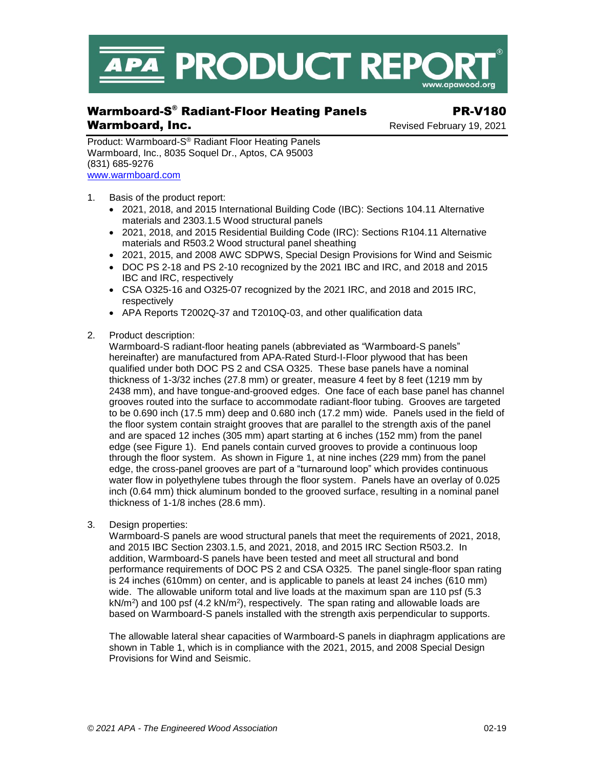

# Warmboard-S ® Radiant-Floor Heating Panels PR-V180 Warmboard, Inc. **Warmboard, Inc. Revised February 19, 2021**

Product: Warmboard-S® Radiant Floor Heating Panels Warmboard, Inc., 8035 Soquel Dr., Aptos, CA 95003 (831) 685-9276 [www.warmboard.com](http://www.warmboard.com/)

- 1. Basis of the product report:
	- 2021, 2018, and 2015 International Building Code (IBC): Sections 104.11 Alternative materials and 2303.1.5 Wood structural panels
	- 2021, 2018, and 2015 Residential Building Code (IRC): Sections R104.11 Alternative materials and R503.2 Wood structural panel sheathing
	- 2021, 2015, and 2008 AWC SDPWS, Special Design Provisions for Wind and Seismic
	- DOC PS 2-18 and PS 2-10 recognized by the 2021 IBC and IRC, and 2018 and 2015 IBC and IRC, respectively
	- CSA O325-16 and O325-07 recognized by the 2021 IRC, and 2018 and 2015 IRC, respectively
	- APA Reports T2002Q-37 and T2010Q-03, and other qualification data
- 2. Product description:

Warmboard-S radiant-floor heating panels (abbreviated as "Warmboard-S panels" hereinafter) are manufactured from APA-Rated Sturd-I-Floor plywood that has been qualified under both DOC PS 2 and CSA O325. These base panels have a nominal thickness of 1-3/32 inches (27.8 mm) or greater, measure 4 feet by 8 feet (1219 mm by 2438 mm), and have tongue-and-grooved edges. One face of each base panel has channel grooves routed into the surface to accommodate radiant-floor tubing. Grooves are targeted to be 0.690 inch (17.5 mm) deep and 0.680 inch (17.2 mm) wide. Panels used in the field of the floor system contain straight grooves that are parallel to the strength axis of the panel and are spaced 12 inches (305 mm) apart starting at 6 inches (152 mm) from the panel edge (see Figure 1). End panels contain curved grooves to provide a continuous loop through the floor system. As shown in Figure 1, at nine inches (229 mm) from the panel edge, the cross-panel grooves are part of a "turnaround loop" which provides continuous water flow in polyethylene tubes through the floor system. Panels have an overlay of 0.025 inch (0.64 mm) thick aluminum bonded to the grooved surface, resulting in a nominal panel thickness of 1-1/8 inches (28.6 mm).

3. Design properties:

Warmboard-S panels are wood structural panels that meet the requirements of 2021, 2018, and 2015 IBC Section 2303.1.5, and 2021, 2018, and 2015 IRC Section R503.2. In addition, Warmboard-S panels have been tested and meet all structural and bond performance requirements of DOC PS 2 and CSA O325. The panel single-floor span rating is 24 inches (610mm) on center, and is applicable to panels at least 24 inches (610 mm) wide. The allowable uniform total and live loads at the maximum span are 110 psf (5.3) kN/m<sup>2</sup>) and 100 psf (4.2 kN/m<sup>2</sup>), respectively. The span rating and allowable loads are based on Warmboard-S panels installed with the strength axis perpendicular to supports.

The allowable lateral shear capacities of Warmboard-S panels in diaphragm applications are shown in Table 1, which is in compliance with the 2021, 2015, and 2008 Special Design Provisions for Wind and Seismic.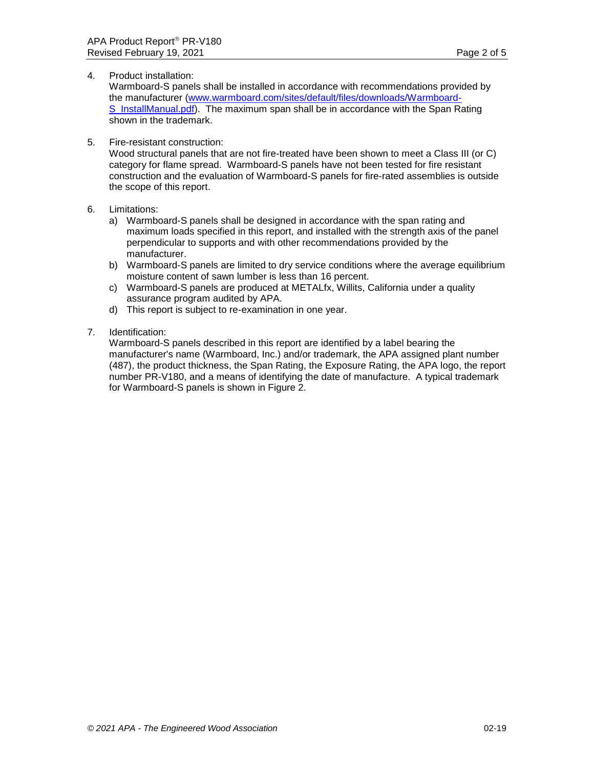# 4. Product installation:

Warmboard-S panels shall be installed in accordance with recommendations provided by the manufacturer [\(www.warmboard.com/sites/default/files/downloads/Warmboard-](http://www.warmboard.com/sites/default/files/downloads/Warmboard-S_InstallManual.pdf)S InstallManual.pdf). The maximum span shall be in accordance with the Span Rating shown in the trademark.

# 5. Fire-resistant construction:

Wood structural panels that are not fire-treated have been shown to meet a Class III (or C) category for flame spread. Warmboard-S panels have not been tested for fire resistant construction and the evaluation of Warmboard-S panels for fire-rated assemblies is outside the scope of this report.

# 6. Limitations:

- a) Warmboard-S panels shall be designed in accordance with the span rating and maximum loads specified in this report, and installed with the strength axis of the panel perpendicular to supports and with other recommendations provided by the manufacturer.
- b) Warmboard-S panels are limited to dry service conditions where the average equilibrium moisture content of sawn lumber is less than 16 percent.
- c) Warmboard-S panels are produced at METALfx, Willits, California under a quality assurance program audited by APA.
- d) This report is subject to re-examination in one year.

# 7. Identification:

Warmboard-S panels described in this report are identified by a label bearing the manufacturer's name (Warmboard, Inc.) and/or trademark, the APA assigned plant number (487), the product thickness, the Span Rating, the Exposure Rating, the APA logo, the report number PR-V180, and a means of identifying the date of manufacture. A typical trademark for Warmboard-S panels is shown in Figure 2.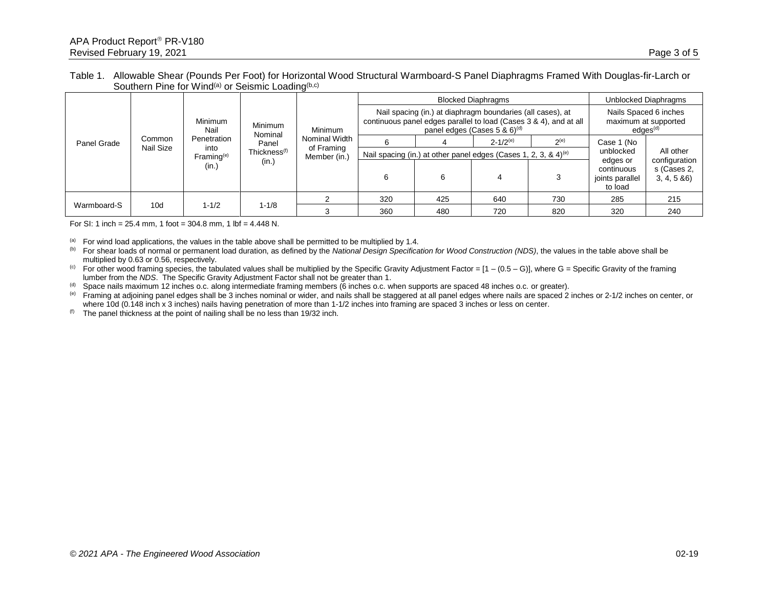### Table 1. Allowable Shear (Pounds Per Foot) for Horizontal Wood Structural Warmboard-S Panel Diaphragms Framed With Douglas-fir-Larch or Southern Pine for Wind<sup>(a)</sup> or Seismic Loading<sup>(b,c)</sup>

| Panel Grade | Common<br>Nail Size | Minimum<br>Nail<br>Penetration<br>into<br>Frame <sup>(e)</sup><br>(in.) | Minimum<br>Nominal<br>Panel<br>Thickness <sup>(f)</sup><br>(in.) | Minimum<br>Nominal Width<br>of Framing<br>Member (in.) | <b>Blocked Diaphragms</b>                                                                                                                                                       |     |                 |           | Unblocked Diaphragms                                                  |                                             |
|-------------|---------------------|-------------------------------------------------------------------------|------------------------------------------------------------------|--------------------------------------------------------|---------------------------------------------------------------------------------------------------------------------------------------------------------------------------------|-----|-----------------|-----------|-----------------------------------------------------------------------|---------------------------------------------|
|             |                     |                                                                         |                                                                  |                                                        | Nail spacing (in.) at diaphragm boundaries (all cases), at<br>continuous panel edges parallel to load (Cases 3 & 4), and at all<br>panel edges (Cases $5 \& 6$ ) <sup>(d)</sup> |     |                 |           | Nails Spaced 6 inches<br>maximum at supported<br>edges <sup>(d)</sup> |                                             |
|             |                     |                                                                         |                                                                  |                                                        |                                                                                                                                                                                 |     | $2 - 1/2^{(e)}$ | $2^{(e)}$ | Case 1 (No                                                            |                                             |
|             |                     |                                                                         |                                                                  |                                                        | Nail spacing (in.) at other panel edges (Cases 1, 2, 3, & 4) <sup>(e)</sup>                                                                                                     |     |                 |           | unblocked                                                             | All other                                   |
|             |                     |                                                                         |                                                                  |                                                        | 6                                                                                                                                                                               | 6   |                 |           | edges or<br>continuous<br>joints parallel<br>to load                  | configuration<br>s (Cases 2,<br>3, 4, 5, 86 |
| Warmboard-S | 10 <sub>d</sub>     | $1 - 1/2$                                                               | $1 - 1/8$                                                        |                                                        | 320                                                                                                                                                                             | 425 | 640             | 730       | 285                                                                   | 215                                         |
|             |                     |                                                                         |                                                                  |                                                        | 360                                                                                                                                                                             | 480 | 720             | 820       | 320                                                                   | 240                                         |

For SI: 1 inch =  $25.4$  mm, 1 foot =  $304.8$  mm, 1 lbf =  $4.448$  N.

 $(a)$  For wind load applications, the values in the table above shall be permitted to be multiplied by 1.4.

(b) For shear loads of normal or permanent load duration, as defined by the *National Design Specification for Wood Construction (NDS)*, the values in the table above shall be multiplied by 0.63 or 0.56, respectively.

(c) For other wood framing species, the tabulated values shall be multiplied by the Specific Gravity Adjustment Factor =  $[1 - (0.5 - G)]$ , where G = Specific Gravity of the framing lumber from the *NDS*. The Specific Gravity Adjustment Factor shall not be greater than 1.

(d) Space nails maximum 12 inches o.c. along intermediate framing members (6 inches o.c. when supports are spaced 48 inches o.c. or greater).

(e) Framing at adjoining panel edges shall be 3 inches nominal or wider, and nails shall be staggered at all panel edges where nails are spaced 2 inches or 2-1/2 inches on center, or where 10d (0.148 inch x 3 inches) nails having penetration of more than 1-1/2 inches into framing are spaced 3 inches or less on center.

 $^{(f)}$  The panel thickness at the point of nailing shall be no less than 19/32 inch.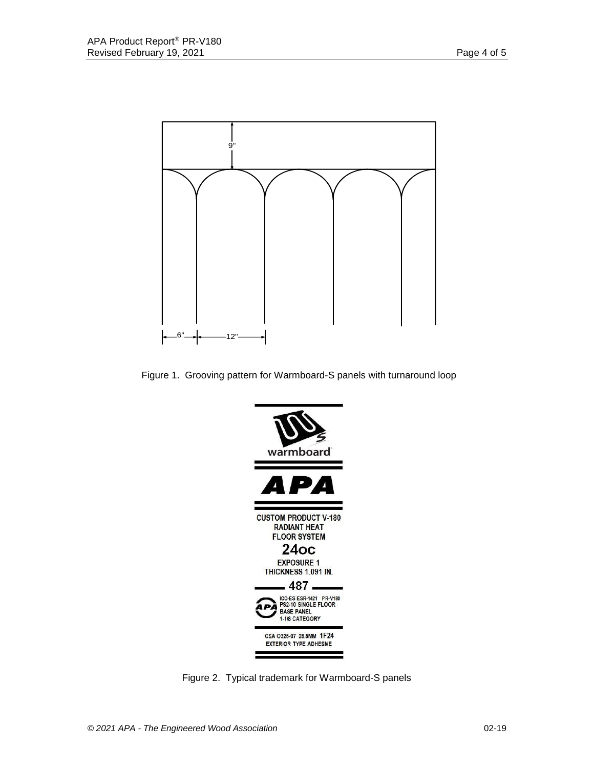

Figure 1. Grooving pattern for Warmboard-S panels with turnaround loop



Figure 2. Typical trademark for Warmboard-S panels